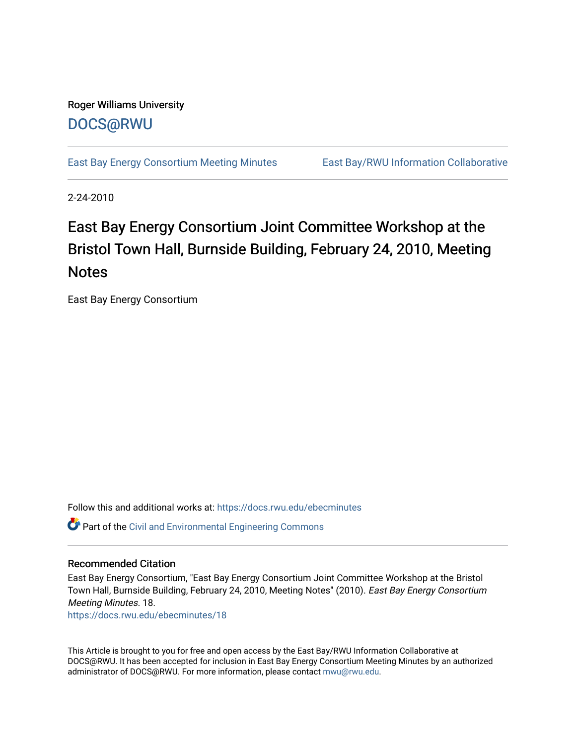# Roger Williams University [DOCS@RWU](https://docs.rwu.edu/)

[East Bay Energy Consortium Meeting Minutes](https://docs.rwu.edu/ebecminutes) East Bay/RWU Information Collaborative

2-24-2010

# East Bay Energy Consortium Joint Committee Workshop at the Bristol Town Hall, Burnside Building, February 24, 2010, Meeting **Notes**

East Bay Energy Consortium

Follow this and additional works at: [https://docs.rwu.edu/ebecminutes](https://docs.rwu.edu/ebecminutes?utm_source=docs.rwu.edu%2Febecminutes%2F18&utm_medium=PDF&utm_campaign=PDFCoverPages)  Part of the [Civil and Environmental Engineering Commons](http://network.bepress.com/hgg/discipline/251?utm_source=docs.rwu.edu%2Febecminutes%2F18&utm_medium=PDF&utm_campaign=PDFCoverPages)

#### Recommended Citation

East Bay Energy Consortium, "East Bay Energy Consortium Joint Committee Workshop at the Bristol Town Hall, Burnside Building, February 24, 2010, Meeting Notes" (2010). East Bay Energy Consortium Meeting Minutes. 18.

[https://docs.rwu.edu/ebecminutes/18](https://docs.rwu.edu/ebecminutes/18?utm_source=docs.rwu.edu%2Febecminutes%2F18&utm_medium=PDF&utm_campaign=PDFCoverPages)

This Article is brought to you for free and open access by the East Bay/RWU Information Collaborative at DOCS@RWU. It has been accepted for inclusion in East Bay Energy Consortium Meeting Minutes by an authorized administrator of DOCS@RWU. For more information, please contact [mwu@rwu.edu](mailto:mwu@rwu.edu).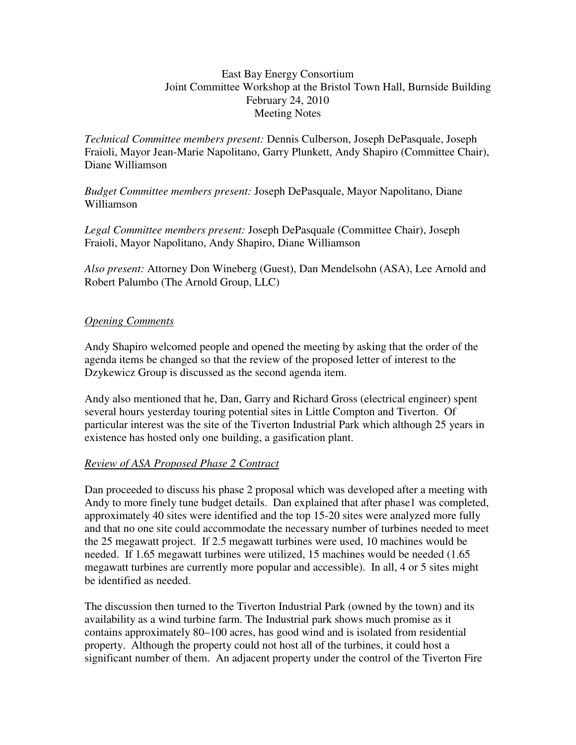#### East Bay Energy Consortium Joint Committee Workshop at the Bristol Town Hall, Burnside Building February 24, 2010 Meeting Notes

*Technical Committee members present:* Dennis Culberson, Joseph DePasquale, Joseph Fraioli, Mayor Jean-Marie Napolitano, Garry Plunkett, Andy Shapiro (Committee Chair), Diane Williamson

*Budget Committee members present:* Joseph DePasquale, Mayor Napolitano, Diane Williamson

*Legal Committee members present:* Joseph DePasquale (Committee Chair), Joseph Fraioli, Mayor Napolitano, Andy Shapiro, Diane Williamson

*Also present:* Attorney Don Wineberg (Guest), Dan Mendelsohn (ASA), Lee Arnold and Robert Palumbo (The Arnold Group, LLC)

## *Opening Comments*

Andy Shapiro welcomed people and opened the meeting by asking that the order of the agenda items be changed so that the review of the proposed letter of interest to the Dzykewicz Group is discussed as the second agenda item.

Andy also mentioned that he, Dan, Garry and Richard Gross (electrical engineer) spent several hours yesterday touring potential sites in Little Compton and Tiverton. Of particular interest was the site of the Tiverton Industrial Park which although 25 years in existence has hosted only one building, a gasification plant.

### *Review of ASA Proposed Phase 2 Contract*

Dan proceeded to discuss his phase 2 proposal which was developed after a meeting with Andy to more finely tune budget details. Dan explained that after phase1 was completed, approximately 40 sites were identified and the top 15-20 sites were analyzed more fully and that no one site could accommodate the necessary number of turbines needed to meet the 25 megawatt project. If 2.5 megawatt turbines were used, 10 machines would be needed. If 1.65 megawatt turbines were utilized, 15 machines would be needed (1.65 megawatt turbines are currently more popular and accessible). In all, 4 or 5 sites might be identified as needed.

The discussion then turned to the Tiverton Industrial Park (owned by the town) and its availability as a wind turbine farm. The Industrial park shows much promise as it contains approximately 80–100 acres, has good wind and is isolated from residential property. Although the property could not host all of the turbines, it could host a significant number of them. An adjacent property under the control of the Tiverton Fire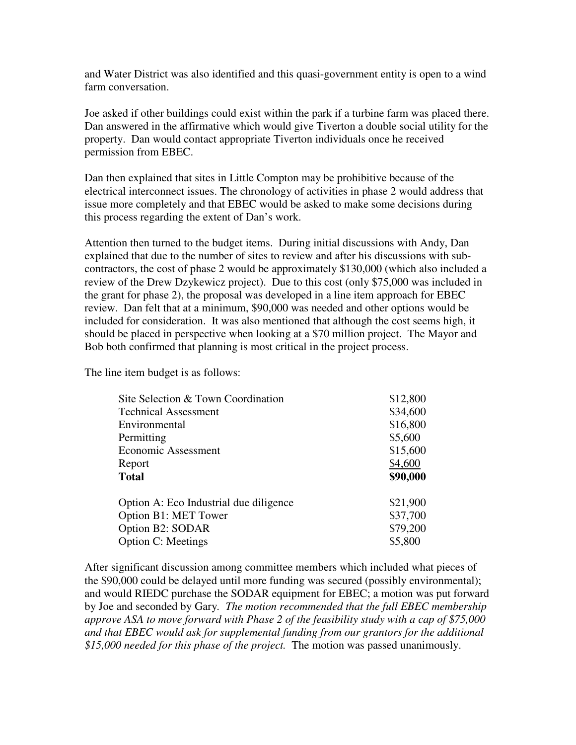and Water District was also identified and this quasi-government entity is open to a wind farm conversation.

Joe asked if other buildings could exist within the park if a turbine farm was placed there. Dan answered in the affirmative which would give Tiverton a double social utility for the property. Dan would contact appropriate Tiverton individuals once he received permission from EBEC.

Dan then explained that sites in Little Compton may be prohibitive because of the electrical interconnect issues. The chronology of activities in phase 2 would address that issue more completely and that EBEC would be asked to make some decisions during this process regarding the extent of Dan's work.

Attention then turned to the budget items. During initial discussions with Andy, Dan explained that due to the number of sites to review and after his discussions with subcontractors, the cost of phase 2 would be approximately \$130,000 (which also included a review of the Drew Dzykewicz project). Due to this cost (only \$75,000 was included in the grant for phase 2), the proposal was developed in a line item approach for EBEC review. Dan felt that at a minimum, \$90,000 was needed and other options would be included for consideration. It was also mentioned that although the cost seems high, it should be placed in perspective when looking at a \$70 million project. The Mayor and Bob both confirmed that planning is most critical in the project process.

The line item budget is as follows:

| Site Selection & Town Coordination     | \$12,800 |
|----------------------------------------|----------|
| <b>Technical Assessment</b>            | \$34,600 |
| Environmental                          | \$16,800 |
| Permitting                             | \$5,600  |
| Economic Assessment                    | \$15,600 |
| Report                                 | \$4,600  |
| <b>Total</b>                           | \$90,000 |
| Option A: Eco Industrial due diligence | \$21,900 |
| Option B1: MET Tower                   | \$37,700 |
| Option B2: SODAR                       | \$79,200 |
| <b>Option C: Meetings</b>              | \$5,800  |

After significant discussion among committee members which included what pieces of the \$90,000 could be delayed until more funding was secured (possibly environmental); and would RIEDC purchase the SODAR equipment for EBEC; a motion was put forward by Joe and seconded by Gary*. The motion recommended that the full EBEC membership approve ASA to move forward with Phase 2 of the feasibility study with a cap of \$75,000 and that EBEC would ask for supplemental funding from our grantors for the additional \$15,000 needed for this phase of the project.* The motion was passed unanimously.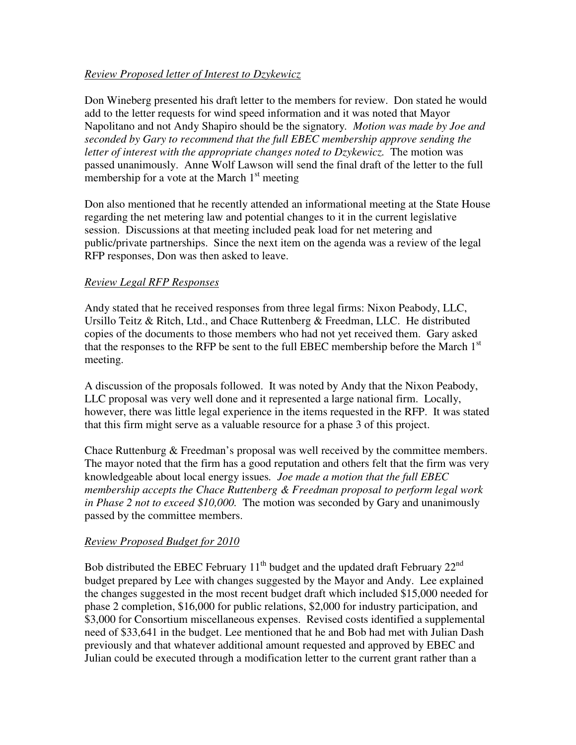### *Review Proposed letter of Interest to Dzykewicz*

Don Wineberg presented his draft letter to the members for review. Don stated he would add to the letter requests for wind speed information and it was noted that Mayor Napolitano and not Andy Shapiro should be the signatory*. Motion was made by Joe and seconded by Gary to recommend that the full EBEC membership approve sending the letter of interest with the appropriate changes noted to Dzykewicz.* The motion was passed unanimously. Anne Wolf Lawson will send the final draft of the letter to the full membership for a vote at the March  $1<sup>st</sup>$  meeting

Don also mentioned that he recently attended an informational meeting at the State House regarding the net metering law and potential changes to it in the current legislative session. Discussions at that meeting included peak load for net metering and public/private partnerships. Since the next item on the agenda was a review of the legal RFP responses, Don was then asked to leave.

#### *Review Legal RFP Responses*

Andy stated that he received responses from three legal firms: Nixon Peabody, LLC, Ursillo Teitz & Ritch, Ltd., and Chace Ruttenberg & Freedman, LLC. He distributed copies of the documents to those members who had not yet received them. Gary asked that the responses to the RFP be sent to the full EBEC membership before the March  $1<sup>st</sup>$ meeting.

A discussion of the proposals followed. It was noted by Andy that the Nixon Peabody, LLC proposal was very well done and it represented a large national firm. Locally, however, there was little legal experience in the items requested in the RFP. It was stated that this firm might serve as a valuable resource for a phase 3 of this project.

Chace Ruttenburg & Freedman's proposal was well received by the committee members. The mayor noted that the firm has a good reputation and others felt that the firm was very knowledgeable about local energy issues*. Joe made a motion that the full EBEC membership accepts the Chace Ruttenberg & Freedman proposal to perform legal work in Phase 2 not to exceed \$10,000.* The motion was seconded by Gary and unanimously passed by the committee members.

### *Review Proposed Budget for 2010*

Bob distributed the EBEC February  $11<sup>th</sup>$  budget and the updated draft February  $22<sup>nd</sup>$ budget prepared by Lee with changes suggested by the Mayor and Andy. Lee explained the changes suggested in the most recent budget draft which included \$15,000 needed for phase 2 completion, \$16,000 for public relations, \$2,000 for industry participation, and \$3,000 for Consortium miscellaneous expenses. Revised costs identified a supplemental need of \$33,641 in the budget. Lee mentioned that he and Bob had met with Julian Dash previously and that whatever additional amount requested and approved by EBEC and Julian could be executed through a modification letter to the current grant rather than a